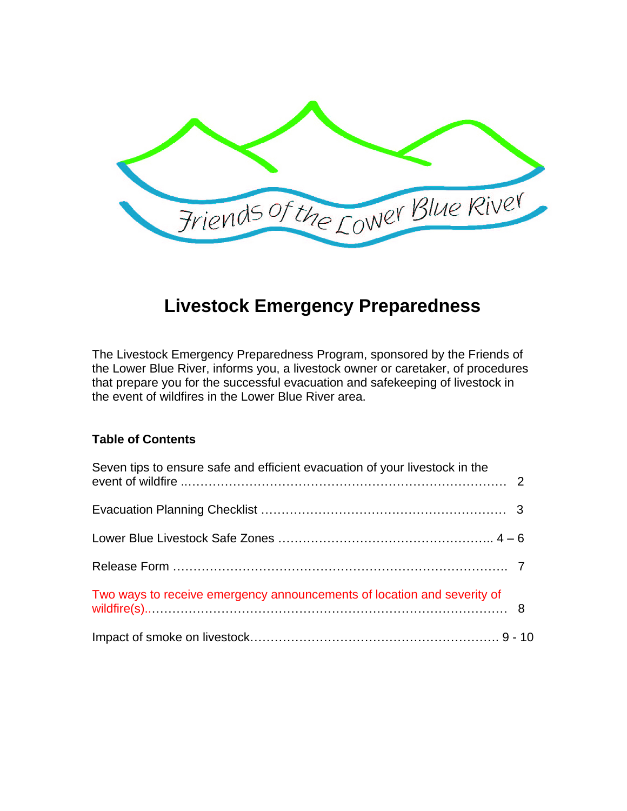

# **Livestock Emergency Preparedness**

The Livestock Emergency Preparedness Program, sponsored by the Friends of the Lower Blue River, informs you, a livestock owner or caretaker, of procedures that prepare you for the successful evacuation and safekeeping of livestock in the event of wildfires in the Lower Blue River area.

### **Table of Contents**

| Seven tips to ensure safe and efficient evacuation of your livestock in the |  |
|-----------------------------------------------------------------------------|--|
|                                                                             |  |
|                                                                             |  |
|                                                                             |  |
| Two ways to receive emergency announcements of location and severity of     |  |
|                                                                             |  |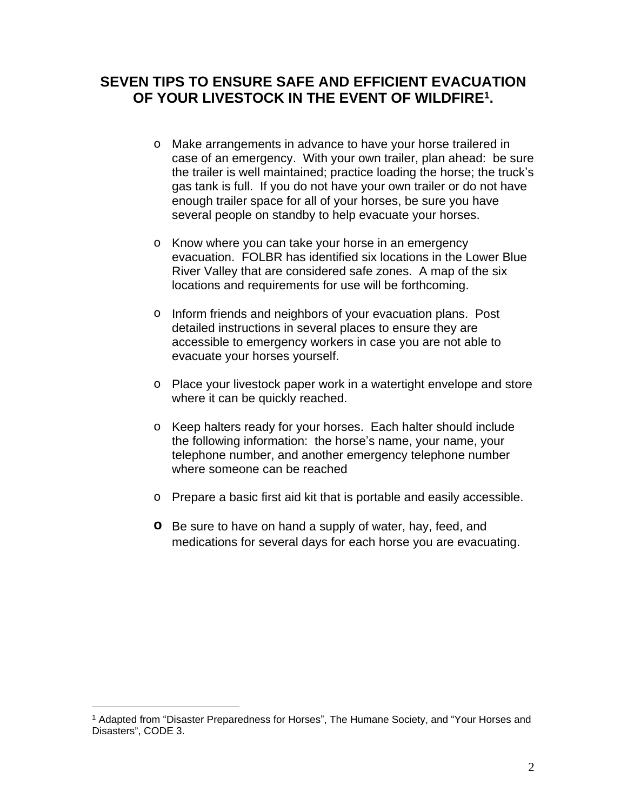### **SEVEN TIPS TO ENSURE SAFE AND EFFICIENT EVACUATION OF YOUR LIVESTOCK IN THE EVENT OF WILDFIRE<sup>1</sup> .**

- o Make arrangements in advance to have your horse trailered in case of an emergency. With your own trailer, plan ahead: be sure the trailer is well maintained; practice loading the horse; the truck's gas tank is full. If you do not have your own trailer or do not have enough trailer space for all of your horses, be sure you have several people on standby to help evacuate your horses.
- o Know where you can take your horse in an emergency evacuation. FOLBR has identified six locations in the Lower Blue River Valley that are considered safe zones. A map of the six locations and requirements for use will be forthcoming.
- o Inform friends and neighbors of your evacuation plans. Post detailed instructions in several places to ensure they are accessible to emergency workers in case you are not able to evacuate your horses yourself.
- o Place your livestock paper work in a watertight envelope and store where it can be quickly reached.
- o Keep halters ready for your horses. Each halter should include the following information: the horse's name, your name, your telephone number, and another emergency telephone number where someone can be reached
- o Prepare a basic first aid kit that is portable and easily accessible.
- **o** Be sure to have on hand a supply of water, hay, feed, and medications for several days for each horse you are evacuating.

<sup>1</sup> Adapted from "Disaster Preparedness for Horses", The Humane Society, and "Your Horses and Disasters", CODE 3.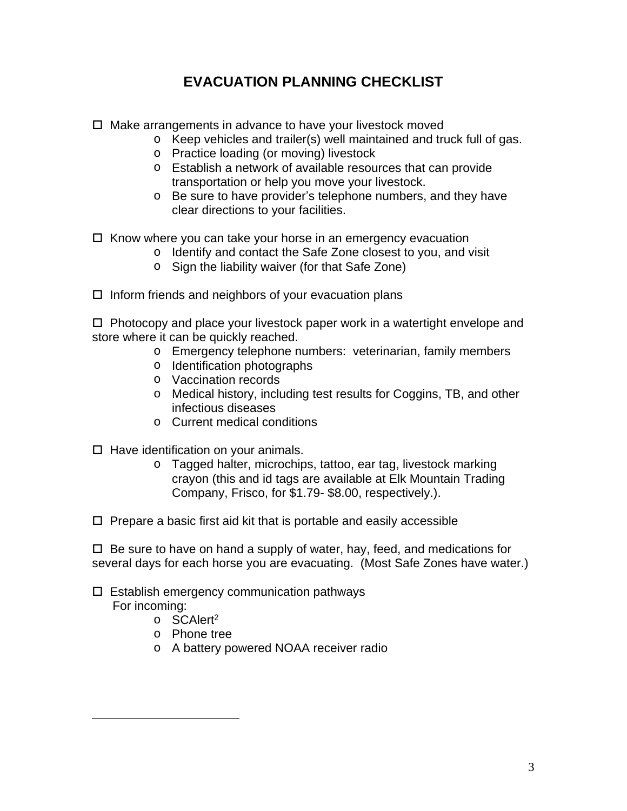# **EVACUATION PLANNING CHECKLIST**

- $\Box$  Make arrangements in advance to have your livestock moved
	- o Keep vehicles and trailer(s) well maintained and truck full of gas.
	- o Practice loading (or moving) livestock
	- o Establish a network of available resources that can provide transportation or help you move your livestock.
	- o Be sure to have provider's telephone numbers, and they have clear directions to your facilities.
- $\Box$  Know where you can take your horse in an emergency evacuation
	- o Identify and contact the Safe Zone closest to you, and visit
	- o Sign the liability waiver (for that Safe Zone)
- $\Box$  Inform friends and neighbors of your evacuation plans

 $\Box$  Photocopy and place your livestock paper work in a watertight envelope and store where it can be quickly reached.

- o Emergency telephone numbers: veterinarian, family members
- o Identification photographs
- o Vaccination records
- o Medical history, including test results for Coggins, TB, and other infectious diseases
- o Current medical conditions
- $\Box$  Have identification on your animals.
	- o Tagged halter, microchips, tattoo, ear tag, livestock marking crayon (this and id tags are available at Elk Mountain Trading Company, Frisco, for \$1.79- \$8.00, respectively.).

 $\Box$  Prepare a basic first aid kit that is portable and easily accessible

 $\Box$  Be sure to have on hand a supply of water, hay, feed, and medications for several days for each horse you are evacuating. (Most Safe Zones have water.)

#### $\square$  Establish emergency communication pathways For incoming:

- o SCAlert<sup>2</sup>
- o Phone tree
- o A battery powered NOAA receiver radio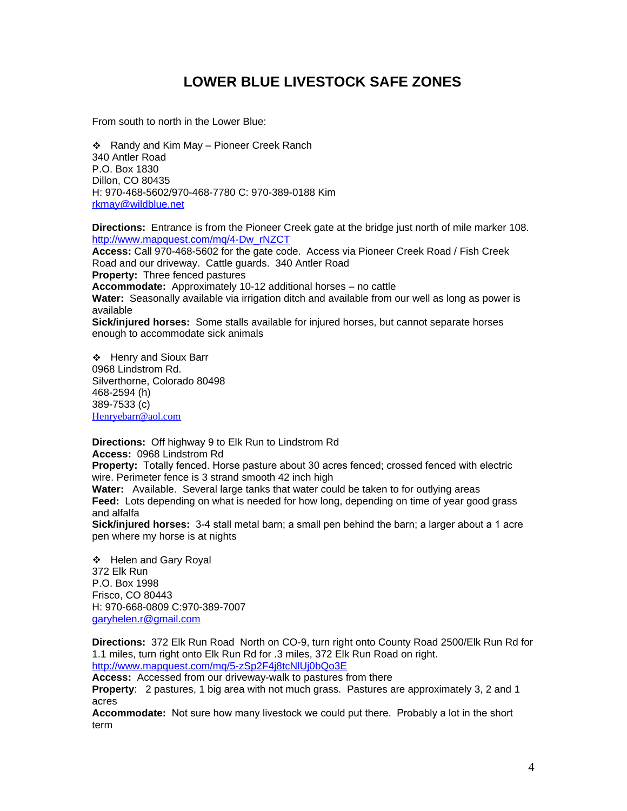## **LOWER BLUE LIVESTOCK SAFE ZONES**

From south to north in the Lower Blue:

 Randy and Kim May – Pioneer Creek Ranch 340 Antler Road P.O. Box 1830 Dillon, CO 80435 H: 970-468-5602/970-468-7780 C: 970-389-0188 Kim [rkmay@wildblue.net](mailto:rkmay@wildblue.net)

**Directions:** Entrance is from the Pioneer Creek gate at the bridge just north of mile marker 108. [http://www.mapquest.com/mq/4-Dw\\_rNZCT](http://www.mapquest.com/mq/4-Dw_rNZCT)

**Access:** Call 970-468-5602 for the gate code. Access via Pioneer Creek Road / Fish Creek Road and our driveway. Cattle guards. 340 Antler Road **Property:** Three fenced pastures **Accommodate:** Approximately 10-12 additional horses – no cattle **Water:** Seasonally available via irrigation ditch and available from our well as long as power is available **Sick/injured horses:** Some stalls available for injured horses, but cannot separate horses enough to accommodate sick animals

 Henry and Sioux Barr 0968 Lindstrom Rd. Silverthorne, Colorado 80498 468-2594 (h) 389-7533 (c) [Henryebarr@aol.com](mailto:Henryebarr@aol.com)

**Directions:** Off highway 9 to Elk Run to Lindstrom Rd **Access:** 0968 Lindstrom Rd **Property:** Totally fenced. Horse pasture about 30 acres fenced; crossed fenced with electric wire. Perimeter fence is 3 strand smooth 42 inch high

**Water:** Available. Several large tanks that water could be taken to for outlying areas **Feed:** Lots depending on what is needed for how long, depending on time of year good grass and alfalfa

**Sick/injured horses:** 3-4 stall metal barn; a small pen behind the barn; a larger about a 1 acre pen where my horse is at nights

❖ Helen and Gary Royal 372 Elk Run P.O. Box 1998 Frisco, CO 80443 H: 970-668-0809 C:970-389-7007 [garyhelen.r@gmail.com](mailto:garyhelen.r@gmail.com)

**Directions:** 372 Elk Run Road North on CO-9, turn right onto County Road 2500/Elk Run Rd for 1.1 miles, turn right onto Elk Run Rd for .3 miles, 372 Elk Run Road on right. <http://www.mapquest.com/mq/5-zSp2F4j8tcNlUj0bQo3E>

**Access:** Accessed from our driveway-walk to pastures from there

**Property**: 2 pastures, 1 big area with not much grass. Pastures are approximately 3, 2 and 1 acres

Accommodate: Not sure how many livestock we could put there. Probably a lot in the short term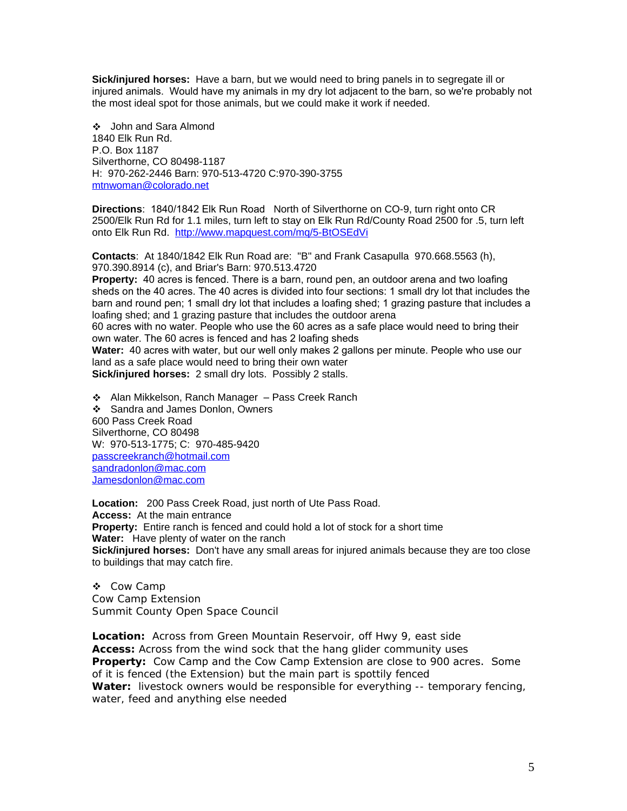**Sick/injured horses:** Have a barn, but we would need to bring panels in to segregate ill or injured animals. Would have my animals in my dry lot adjacent to the barn, so we're probably not the most ideal spot for those animals, but we could make it work if needed.

 John and Sara Almond 1840 Elk Run Rd. P.O. Box 1187 Silverthorne, CO 80498-1187 H: 970-262-2446 Barn: 970-513-4720 C:970-390-3755 [mtnwoman@colorado.net](mailto:mtnwoman@colorado.net)

**Directions**: 1840/1842 Elk Run Road North of Silverthorne on CO-9, turn right onto CR 2500/Elk Run Rd for 1.1 miles, turn left to stay on Elk Run Rd/County Road 2500 for .5, turn left onto Elk Run Rd. <http://www.mapquest.com/mq/5-BtOSEdVi>

**Contacts**: At 1840/1842 Elk Run Road are: "B" and Frank Casapulla 970.668.5563 (h), 970.390.8914 (c), and Briar's Barn: 970.513.4720

**Property:** 40 acres is fenced. There is a barn, round pen, an outdoor arena and two loafing sheds on the 40 acres. The 40 acres is divided into four sections: 1 small dry lot that includes the barn and round pen; 1 small dry lot that includes a loafing shed; 1 grazing pasture that includes a loafing shed; and 1 grazing pasture that includes the outdoor arena

60 acres with no water. People who use the 60 acres as a safe place would need to bring their own water. The 60 acres is fenced and has 2 loafing sheds

**Water:** 40 acres with water, but our well only makes 2 gallons per minute. People who use our land as a safe place would need to bring their own water

**Sick/injured horses:** 2 small dry lots. Possibly 2 stalls.

 Alan Mikkelson, Ranch Manager – Pass Creek Ranch Sandra and James Donlon, Owners 600 Pass Creek Road Silverthorne, CO 80498 W: 970-513-1775; C: 970-485-9420 [passcreekranch@hotmail.com](mailto:passcreekranch@hotmail.com) [sandradonlon@mac.com](mailto:sandradonlon@mac.com) [Jamesdonlon@mac.com](mailto:Jamesdonlon@mac.com)

**Location:** 200 Pass Creek Road, just north of Ute Pass Road. **Access:** At the main entrance **Property:** Entire ranch is fenced and could hold a lot of stock for a short time **Water:** Have plenty of water on the ranch **Sick/injured horses:** Don't have any small areas for injured animals because they are too close to buildings that may catch fire.

 Cow Camp Cow Camp Extension Summit County Open Space Council

**Location:** Across from Green Mountain Reservoir, off Hwy 9, east side **Access:** Across from the wind sock that the hang glider community uses **Property:** Cow Camp and the Cow Camp Extension are close to 900 acres. Some of it is fenced (the Extension) but the main part is spottily fenced **Water:** livestock owners would be responsible for everything -- temporary fencing, water, feed and anything else needed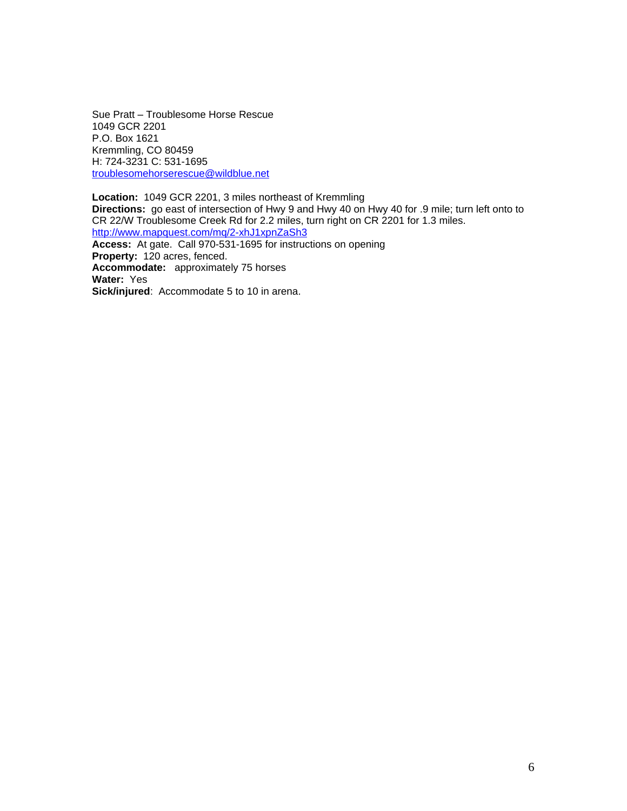Sue Pratt – Troublesome Horse Rescue 1049 GCR 2201 P.O. Box 1621 Kremmling, CO 80459 H: 724-3231 C: 531-1695 [troublesomehorserescue@wildblue.net](mailto:troublesomehorserescue@wildblue.net)

**Location:** 1049 GCR 2201, 3 miles northeast of Kremmling **Directions:** go east of intersection of Hwy 9 and Hwy 40 on Hwy 40 for .9 mile; turn left onto to CR 22/W Troublesome Creek Rd for 2.2 miles, turn right on CR 2201 for 1.3 miles. <http://www.mapquest.com/mq/2-xhJ1xpnZaSh3> **Access:** At gate. Call 970-531-1695 for instructions on opening **Property:** 120 acres, fenced. **Accommodate:** approximately 75 horses **Water:** Yes **Sick/injured**: Accommodate 5 to 10 in arena.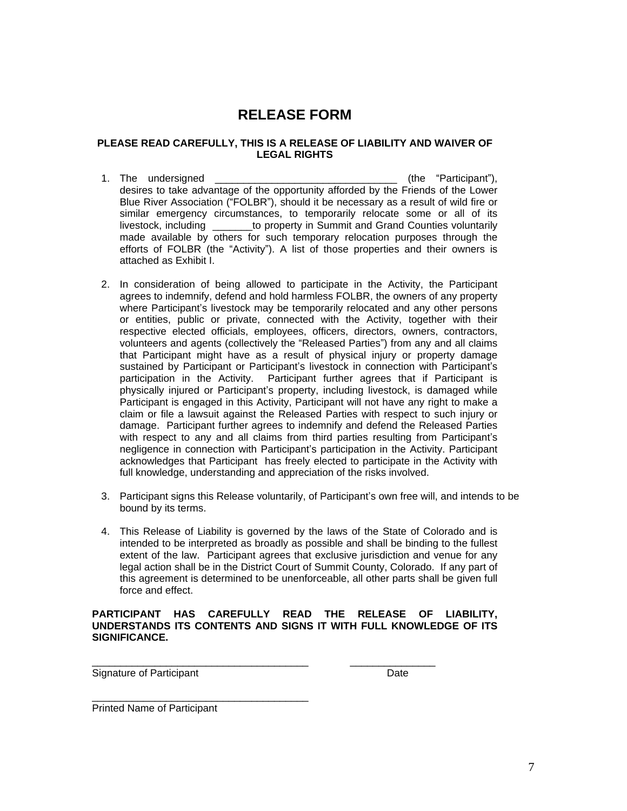# **RELEASE FORM**

#### **PLEASE READ CAREFULLY, THIS IS A RELEASE OF LIABILITY AND WAIVER OF LEGAL RIGHTS**

- 1. The undersigned the settle of the "Participant"), desires to take advantage of the opportunity afforded by the Friends of the Lower Blue River Association ("FOLBR"), should it be necessary as a result of wild fire or similar emergency circumstances, to temporarily relocate some or all of its livestock, including \_\_\_\_\_\_\_to property in Summit and Grand Counties voluntarily made available by others for such temporary relocation purposes through the efforts of FOLBR (the "Activity"). A list of those properties and their owners is attached as Exhibit I.
- 2. In consideration of being allowed to participate in the Activity, the Participant agrees to indemnify, defend and hold harmless FOLBR, the owners of any property where Participant's livestock may be temporarily relocated and any other persons or entities, public or private, connected with the Activity, together with their respective elected officials, employees, officers, directors, owners, contractors, volunteers and agents (collectively the "Released Parties") from any and all claims that Participant might have as a result of physical injury or property damage sustained by Participant or Participant's livestock in connection with Participant's participation in the Activity. Participant further agrees that if Participant is physically injured or Participant's property, including livestock, is damaged while Participant is engaged in this Activity, Participant will not have any right to make a claim or file a lawsuit against the Released Parties with respect to such injury or damage. Participant further agrees to indemnify and defend the Released Parties with respect to any and all claims from third parties resulting from Participant's negligence in connection with Participant's participation in the Activity. Participant acknowledges that Participant has freely elected to participate in the Activity with full knowledge, understanding and appreciation of the risks involved.
- 3. Participant signs this Release voluntarily, of Participant's own free will, and intends to be bound by its terms.
- 4. This Release of Liability is governed by the laws of the State of Colorado and is intended to be interpreted as broadly as possible and shall be binding to the fullest extent of the law. Participant agrees that exclusive jurisdiction and venue for any legal action shall be in the District Court of Summit County, Colorado. If any part of this agreement is determined to be unenforceable, all other parts shall be given full force and effect.

#### **PARTICIPANT HAS CAREFULLY READ THE RELEASE OF LIABILITY, UNDERSTANDS ITS CONTENTS AND SIGNS IT WITH FULL KNOWLEDGE OF ITS SIGNIFICANCE.**

\_\_\_\_\_\_\_\_\_\_\_\_\_\_\_\_\_\_\_\_\_\_\_\_\_\_\_\_\_\_\_\_\_\_\_\_\_\_ \_\_\_\_\_\_\_\_\_\_\_\_\_\_\_ Signature of Participant **Date** Date Date

Printed Name of Participant

\_\_\_\_\_\_\_\_\_\_\_\_\_\_\_\_\_\_\_\_\_\_\_\_\_\_\_\_\_\_\_\_\_\_\_\_\_\_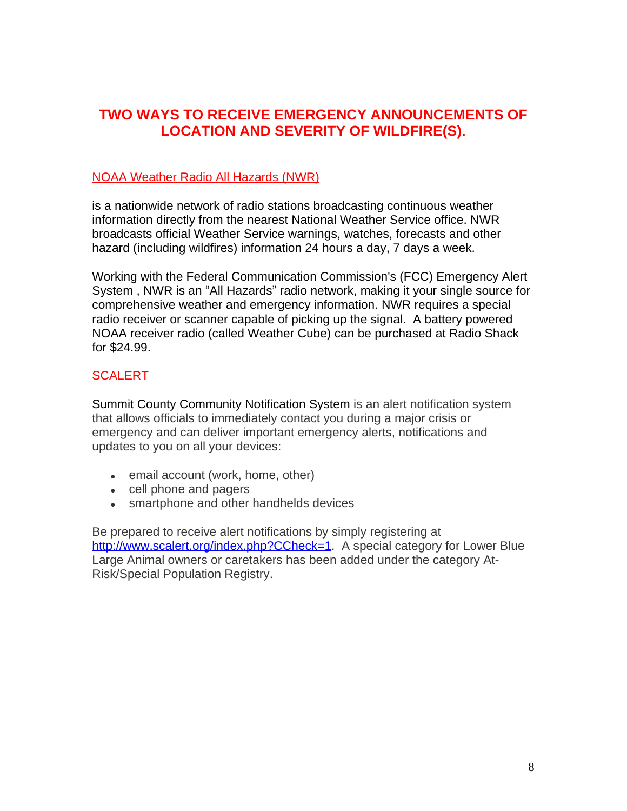### **TWO WAYS TO RECEIVE EMERGENCY ANNOUNCEMENTS OF LOCATION AND SEVERITY OF WILDFIRE(S).**

### NOAA Weather Radio All Hazards (NWR)

is a nationwide network of radio stations broadcasting continuous weather information directly from the nearest National Weather Service office. NWR broadcasts official Weather Service warnings, watches, forecasts and other hazard (including wildfires) information 24 hours a day, 7 days a week.

Working with the Federal Communication Commission's (FCC) Emergency Alert System , NWR is an "All Hazards" radio network, making it your single source for comprehensive weather and emergency information. NWR requires a special radio receiver or scanner capable of picking up the signal. A battery powered NOAA receiver radio (called Weather Cube) can be purchased at Radio Shack for \$24.99.

### **SCALERT**

Summit County Community Notification System is an alert notification system that allows officials to immediately contact you during a major crisis or emergency and can deliver important emergency alerts, notifications and updates to you on all your devices:

- email account (work, home, other)
- cell phone and pagers
- smartphone and other handhelds devices

Be prepared to receive alert notifications by simply registering at [http://www.scalert.org/index.php?CCheck=1.](http://www.scalert.org/index.php?CCheck=1) A special category for Lower Blue Large Animal owners or caretakers has been added under the category At-Risk/Special Population Registry.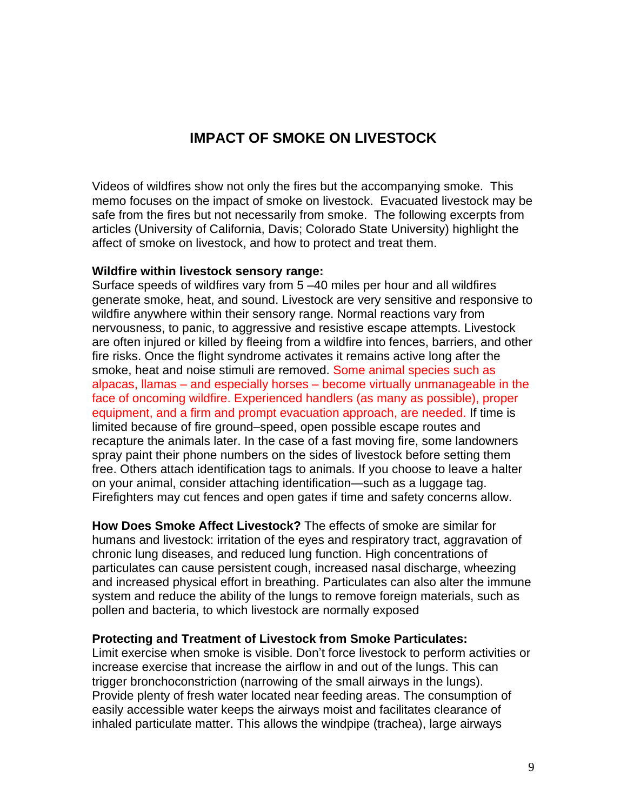### **IMPACT OF SMOKE ON LIVESTOCK**

Videos of wildfires show not only the fires but the accompanying smoke. This memo focuses on the impact of smoke on livestock. Evacuated livestock may be safe from the fires but not necessarily from smoke. The following excerpts from articles (University of California, Davis; Colorado State University) highlight the affect of smoke on livestock, and how to protect and treat them.

#### **Wildfire within livestock sensory range:**

Surface speeds of wildfires vary from 5 –40 miles per hour and all wildfires generate smoke, heat, and sound. Livestock are very sensitive and responsive to wildfire anywhere within their sensory range. Normal reactions vary from nervousness, to panic, to aggressive and resistive escape attempts. Livestock are often injured or killed by fleeing from a wildfire into fences, barriers, and other fire risks. Once the flight syndrome activates it remains active long after the smoke, heat and noise stimuli are removed. Some animal species such as alpacas, llamas – and especially horses – become virtually unmanageable in the face of oncoming wildfire. Experienced handlers (as many as possible), proper equipment, and a firm and prompt evacuation approach, are needed. If time is limited because of fire ground–speed, open possible escape routes and recapture the animals later. In the case of a fast moving fire, some landowners spray paint their phone numbers on the sides of livestock before setting them free. Others attach identification tags to animals. If you choose to leave a halter on your animal, consider attaching identification—such as a luggage tag. Firefighters may cut fences and open gates if time and safety concerns allow.

**How Does Smoke Affect Livestock?** The effects of smoke are similar for humans and livestock: irritation of the eyes and respiratory tract, aggravation of chronic lung diseases, and reduced lung function. High concentrations of particulates can cause persistent cough, increased nasal discharge, wheezing and increased physical effort in breathing. Particulates can also alter the immune system and reduce the ability of the lungs to remove foreign materials, such as pollen and bacteria, to which livestock are normally exposed

#### **Protecting and Treatment of Livestock from Smoke Particulates:**

Limit exercise when smoke is visible. Don't force livestock to perform activities or increase exercise that increase the airflow in and out of the lungs. This can trigger bronchoconstriction (narrowing of the small airways in the lungs). Provide plenty of fresh water located near feeding areas. The consumption of easily accessible water keeps the airways moist and facilitates clearance of inhaled particulate matter. This allows the windpipe (trachea), large airways